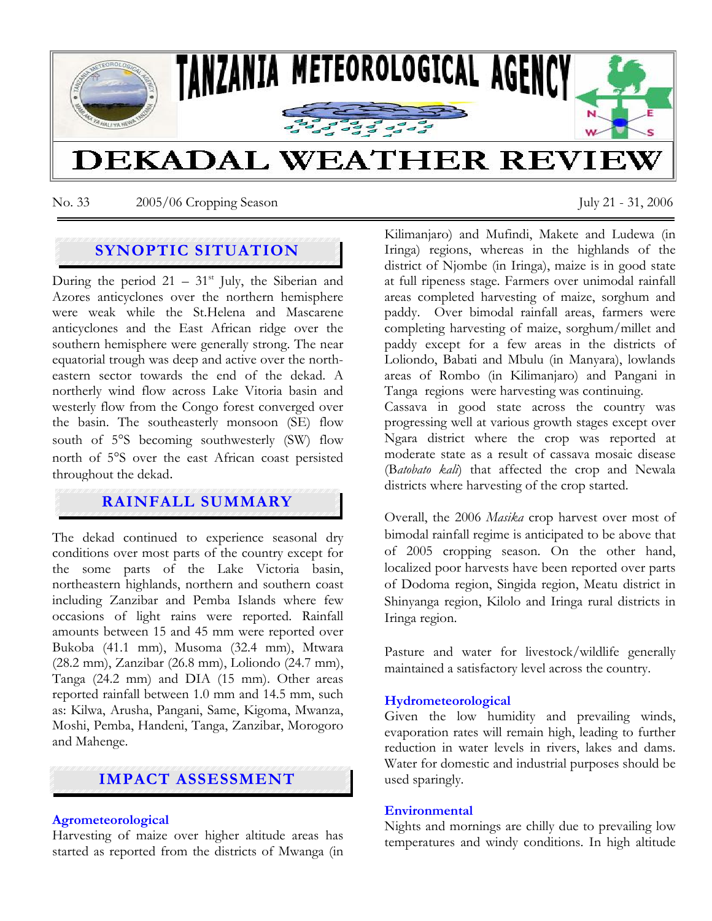

No. 33 2005/06 Cropping Season July 21 - 31, 2006

# **SYNOPTIC SITUATION**

During the period  $21 - 31$ <sup>st</sup> July, the Siberian and Azores anticyclones over the northern hemisphere were weak while the St.Helena and Mascarene anticyclones and the East African ridge over the southern hemisphere were generally strong. The near equatorial trough was deep and active over the northeastern sector towards the end of the dekad. A northerly wind flow across Lake Vitoria basin and westerly flow from the Congo forest converged over the basin. The southeasterly monsoon (SE) flow south of 5°S becoming southwesterly (SW) flow north of 5°S over the east African coast persisted throughout the dekad.

## **RAINFALL SUMMARY**

The dekad continued to experience seasonal dry conditions over most parts of the country except for the some parts of the Lake Victoria basin, northeastern highlands, northern and southern coast including Zanzibar and Pemba Islands where few occasions of light rains were reported. Rainfall amounts between 15 and 45 mm were reported over Bukoba (41.1 mm), Musoma (32.4 mm), Mtwara (28.2 mm), Zanzibar (26.8 mm), Loliondo (24.7 mm), Tanga (24.2 mm) and DIA (15 mm). Other areas reported rainfall between 1.0 mm and 14.5 mm, such as: Kilwa, Arusha, Pangani, Same, Kigoma, Mwanza, Moshi, Pemba, Handeni, Tanga, Zanzibar, Morogoro and Mahenge.

# **IMPACT ASSESSMENT**

#### **Agrometeorological**

Harvesting of maize over higher altitude areas has started as reported from the districts of Mwanga (in Kilimanjaro) and Mufindi, Makete and Ludewa (in Iringa) regions, whereas in the highlands of the district of Njombe (in Iringa), maize is in good state at full ripeness stage. Farmers over unimodal rainfall areas completed harvesting of maize, sorghum and paddy. Over bimodal rainfall areas, farmers were completing harvesting of maize, sorghum/millet and paddy except for a few areas in the districts of Loliondo, Babati and Mbulu (in Manyara), lowlands areas of Rombo (in Kilimanjaro) and Pangani in Tanga regions were harvesting was continuing. Cassava in good state across the country was progressing well at various growth stages except over Ngara district where the crop was reported at moderate state as a result of cassava mosaic disease

Overall, the 2006 *Masika* crop harvest over most of bimodal rainfall regime is anticipated to be above that of 2005 cropping season. On the other hand, localized poor harvests have been reported over parts of Dodoma region, Singida region, Meatu district in Shinyanga region, Kilolo and Iringa rural districts in Iringa region.

(B*atobato kali*) that affected the crop and Newala

districts where harvesting of the crop started.

Pasture and water for livestock/wildlife generally maintained a satisfactory level across the country.

### **Hydrometeorological**

Given the low humidity and prevailing winds, evaporation rates will remain high, leading to further reduction in water levels in rivers, lakes and dams. Water for domestic and industrial purposes should be used sparingly.

#### **Environmental**

Nights and mornings are chilly due to prevailing low temperatures and windy conditions. In high altitude